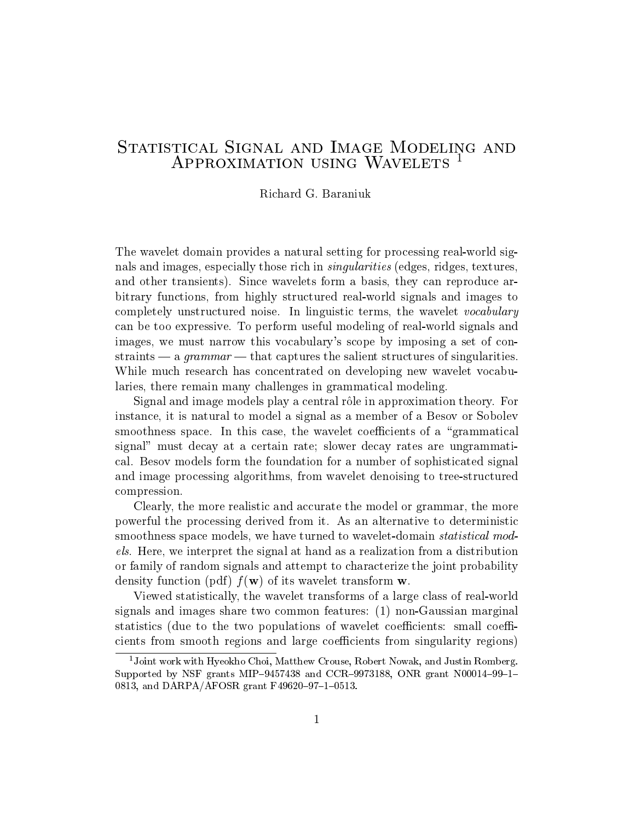## Statistical Signal and Image Modeling and Approximation using Wavelets <sup>1</sup>

Richard G. Baraniuk

The wavelet domain provides a natural setting for processing real-world signals and images, especially those rich in singularities (edges, ridges, textures, and other transients). Since wavelets form a basis, they can reproduce arbitrary functions, from highly structured real-world signals and images to completely unstructured noise. In linguistic terms, the wavelet vocabulary can be too expressive. To perform useful modeling of real-world signals and images, we must narrow this vocabulary's scope by imposing a set of constraints  $-$  a *grammar*  $-$  that captures the salient structures of singularities. While much research has concentrated on developing new wavelet vocabularies, there remain many challenges in grammatical modeling.

Signal and image models play a central rôle in approximation theory. For instance, it is natural to model a signal as a member of a Besov or Sobolev smoothness space. In this case, the wavelet coefficients of a "grammatical" signal" must decay at a certain rate; slower decay rates are ungrammatical. Besov models form the foundation for a number of sophisticated signal and image processing algorithms, from wavelet denoising to tree-structured compression.

Clearly, the more realistic and accurate the model or grammar, the more powerful the processing derived from it. As an alternative to deterministic smoothness space models, we have turned to wavelet-domain *statistical mod*els. Here, we interpret the signal at hand as a realization from a distribution or family of random signals and attempt to characterize the joint probability density function (pdf)  $f(\mathbf{w})$  of its wavelet transform **w**.

Viewed statistically, the wavelet transforms of a large class of real-world signals and images share two common features: (1) non-Gaussian marginal statistics (due to the two populations of wavelet coefficients: small coefficients from smooth regions and large coefficients from singularity regions)

<sup>&</sup>lt;sup>1</sup>Joint work with Hyeokho Choi, Matthew Crouse, Robert Nowak, and Justin Romberg. Supported by NSF grants MIP-9457438 and CCR-9973188, ONR grant N00014-99-1-0813, and DARPA/AFOSR grant F49620-97-1-0513.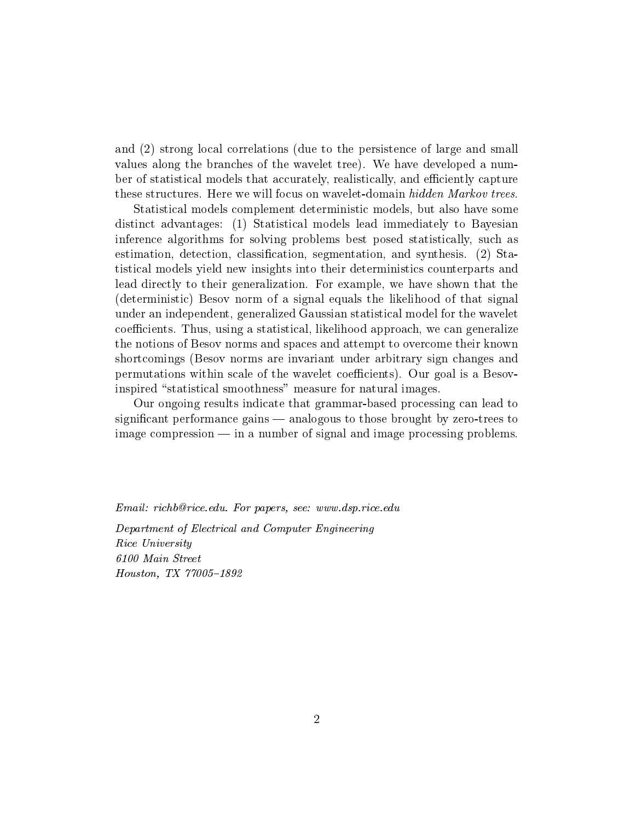and (2) strong local correlations (due to the persistence of large and small values along the branches of the wavelet tree). We have developed a number of statistical models that accurately, realistically, and efficiently capture these structures. Here we will focus on wavelet-domain hidden Markov trees.

Statistical models complement deterministic models, but also have some distinct advantages: (1) Statistical models lead immediately to Bayesian inference algorithms for solving problems best posed statistically, such as estimation, detection, classication, segmentation, and synthesis. (2) Statistical models yield new insights into their deterministics counterparts and lead directly to their generalization. For example, we have shown that the (deterministic) Besov norm of a signal equals the likelihood of that signal under an independent, generalized Gaussian statistical model for the wavelet coefficients. Thus, using a statistical, likelihood approach, we can generalize the notions of Besov norms and spaces and attempt to overcome their known shortcomings (Besov norms are invariant under arbitrary sign changes and permutations within scale of the wavelet coecients). Our goal is a Besovinspired "statistical smoothness" measure for natural images.

Our ongoing results indicate that grammar-based processing can lead to significant performance gains — analogous to those brought by zero-trees to  $\frac{1}{2}$  image compression  $\frac{1}{2}$  in a number of signal and image processing problems.

Email: richb@rice.edu. For papers, see: www.dsp.rice.edu

Department of Electrical and Computer Engineering  $\mathbb{R}$  . The University  $\mathbb{R}$  is the University of  $\mathbb{R}$  . The University of  $\mathbb{R}$ Houston, TX 77005{1892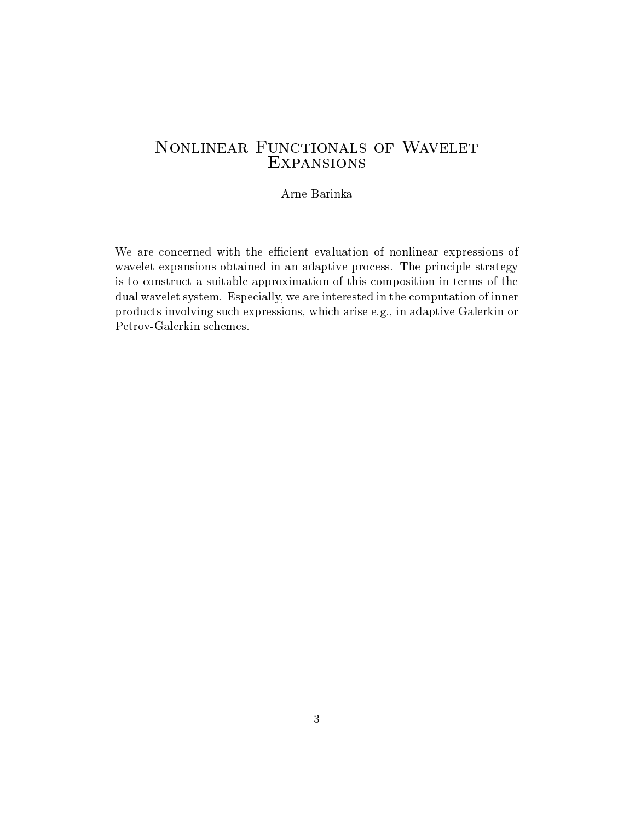#### Arne Barinka

We are concerned with the efficient evaluation of nonlinear expressions of wavelet expansions obtained in an adaptive process. The principle strategy is to construct a suitable approximation of this composition in terms of the dual wavelet system. Especially, we are interested in the computation of inner products involving such expressions, which arise e.g., in adaptive Galerkin or Petrov-Galerkin schemes.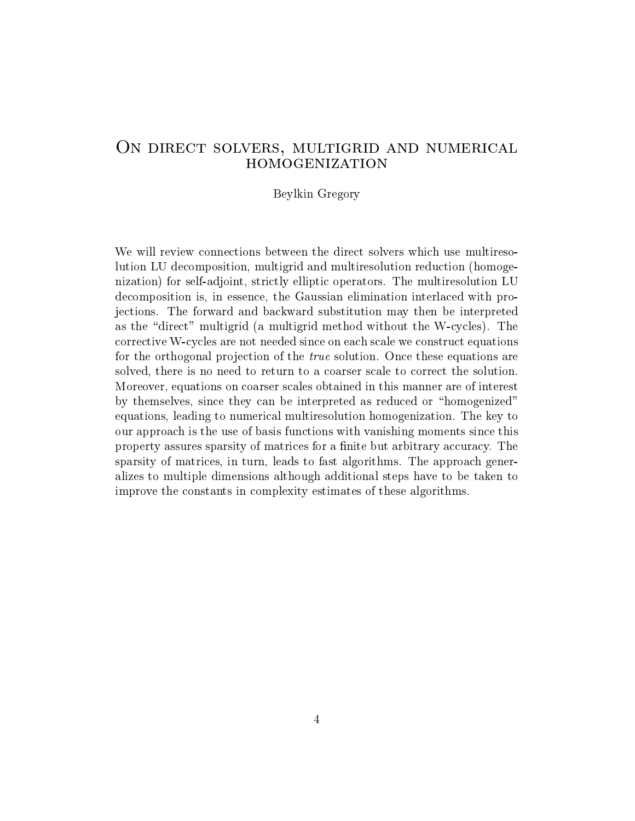### ON DIRECT SOLVERS, MULTIGRID AND NUMERICAL **HOMOGENIZATION**

#### Beylkin Gregory

We will review connections between the direct solvers which use multiresolution LU decomposition, multigrid and multiresolution reduction (homogenization) for self-adjoint, strictly elliptic operators. The multiresolution LU decomposition is, in essence, the Gaussian elimination interlaced with projections. The forward and backward substitution may then be interpreted as the "direct" multigrid (a multigrid method without the W-cycles). The corrective W-cycles are not needed since on each scale we construct equations for the orthogonal projection of the *true* solution. Once these equations are solved, there is no need to return to a coarser scale to correct the solution. Moreover, equations on coarser scales obtained in this manner are of interest by themselves, since they can be interpreted as reduced or "homogenized" equations, leading to numerical multiresolution homogenization. The key to our approach is the use of basis functions with vanishing moments since this property assures sparsity of matrices for a finite but arbitrary accuracy. The sparsity of matrices, in turn, leads to fast algorithms. The approach generalizes to multiple dimensions although additional steps have to be taken to improve the constants in complexity estimates of these algorithms.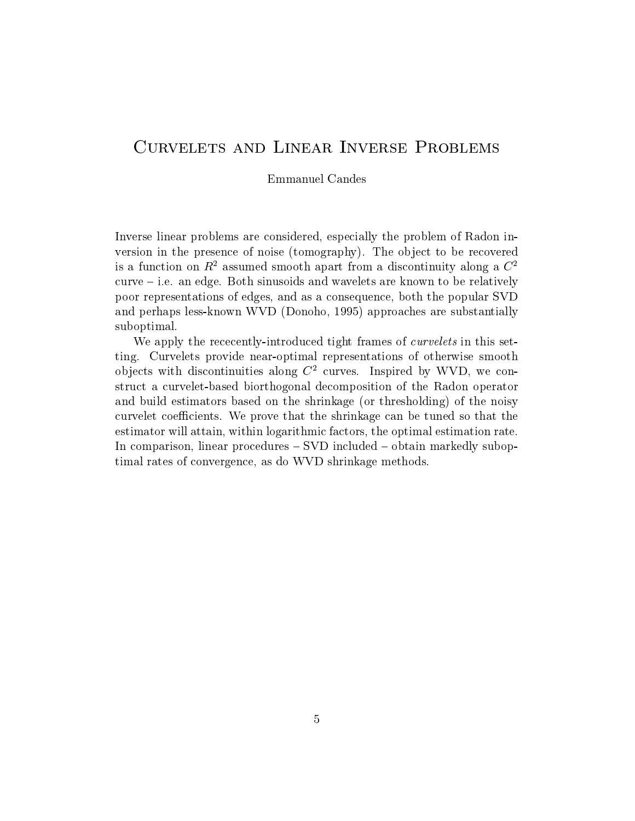# CURVELETS AND LINEAR INVERSE PROBLEMS

Emmanuel Candes

Inverse linear problems are considered, especially the problem of Radon inversion in the presence of noise (tomography). The object to be recovered is a function on  $R^2$  assumed smooth apart from a discontinuity along a  $C^2$  $curve - i.e.$  an edge. Both sinusoids and wavelets are known to be relatively poor representations of edges, and as a consequence, both thepopular SVD and perhaps less-known WVD (Donoho, 1995) approaches are substantially suboptimal.

We apply the rececently-introduced tight frames of *curvelets* in this setting. Curvelets provide near-optimal representations of otherwise smooth objects with discontinuities along  $C^2$  curves. Inspired by WVD, we construct a curvelet-based biorthogonal decomposition of the Radon operator and build estimators based on the shrinkage (or thresholding) of the noisy curvelet coefficients. We prove that the shrinkage can be tuned so that the estimator will attain, within logarithmic factors, the optimal estimation rate. In comparison, linear procedures  $-$  SVD included  $-$  obtain markedly suboptimal rates of convergence, as do WVD shrinkage methods.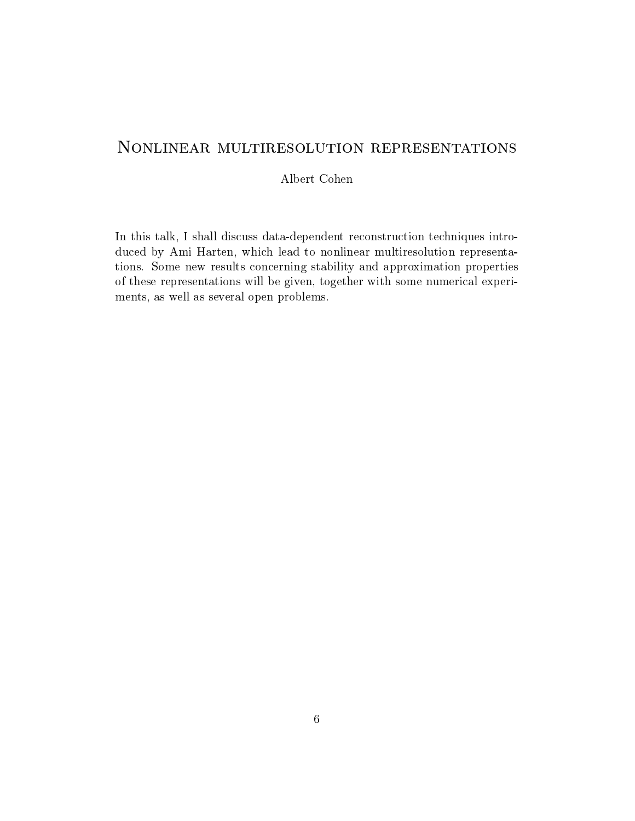# Nonlinear multiresolution representations

Albert Cohen

In this talk,I shall discuss data-dependent reconstruction techniques introduced by Ami Harten, which lead to nonlinear multiresolution representations. Some new results concerning stability and approximation properties of these representations will be given, together with some numerical experiments, as well as several open problems.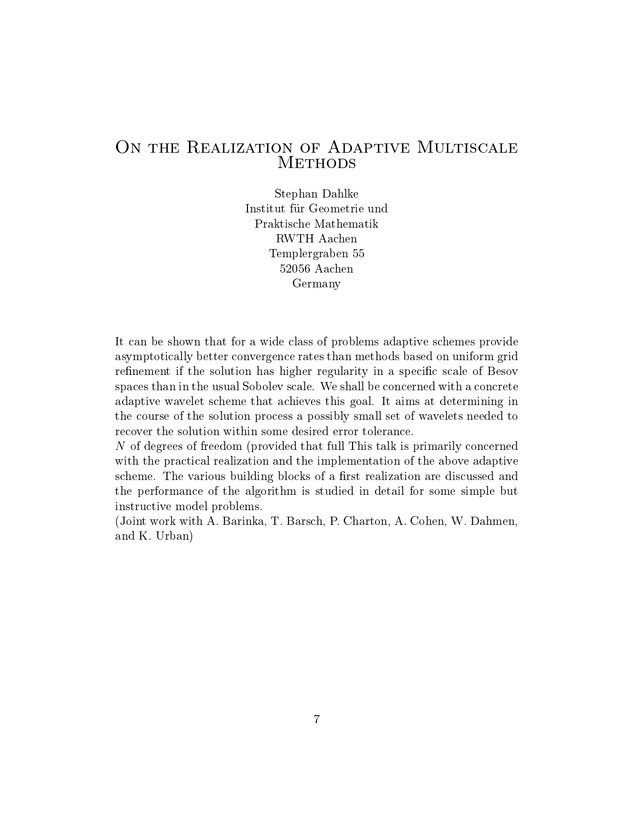# ON THE REALIZATION OF ADAPTIVE MULTISCALE **METHODS**

Stephan Dahlke Institut für Geometrie und RWTH Aachen Templergraben 55 52056 Aachen Germany

It can be shown that for a wide class of problems adaptive schemes provide asymptotically better convergence rates than methods based on uniform grid refinement if the solution has higher regularity in a specific scale of Besov spaces than in the usual Sobolev scale. We shall be concerned with a concrete adaptive wavelet scheme that achieves this goal. It aims at determining in the course of the solution process a possibly small set of wavelets needed to recover the solution within some desired error tolerance.

N of degrees of freedom (provided that full This talk is primarily concerned with the practical realization and the implementation of the above adaptive scheme. The various building blocks of a first realization are discussed and the performance of the algorithm is studied in detail for some simple but instructive model problems.

(Joint work with A. Barinka, T. Barsch, P. Charton, A. Cohen, W. Dahmen, and K. Urban)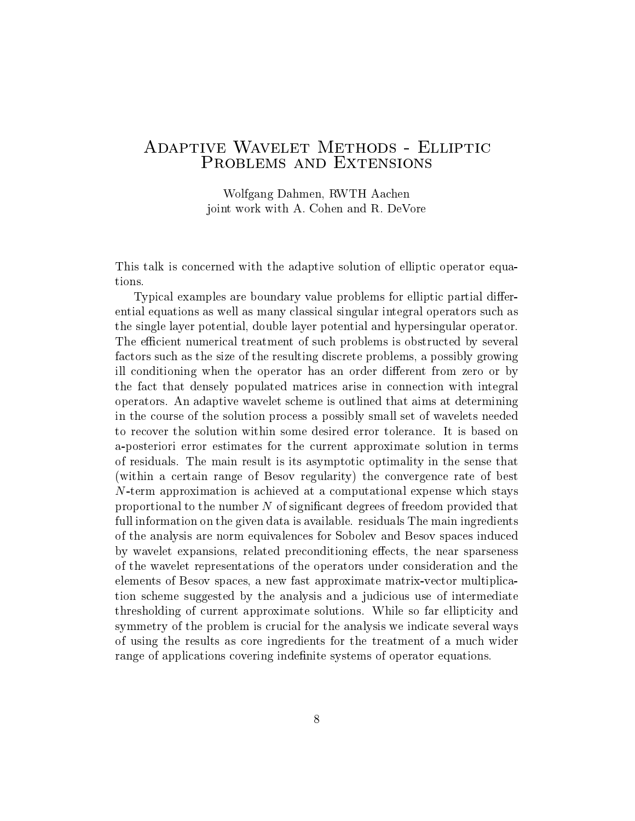# ADAPTIVE WAVELET METHODS - ELLIPTIC<br>PROBLEMS AND EXTENSIONS

Wolfgang Dahmen, RWTH Aachen joint work with A. Cohen and R. DeVore

This talk is concerned with the adaptive solution of elliptic operator equations.

Typical examples are boundary value problems for elliptic partial differential equations as well as many classical singular integral operators such as the single layer potential, double layer potential and hypersingular operator. The efficient numerical treatment of such problems is obstructed by several factors such as the size of the resulting discrete problems, a possibly growing ill conditioning when the operator has an order different from zero or by the fact that densely populated matrices arise in connection with integral operators. An adaptive wavelet scheme is outlined that aims at determining in thecourse of the solution process a possibly small set of wavelets needed to recover the solution within some desired errortolerance. It is based on a-posteriori error estimates for the current approximate solution in terms of residuals. The main result is its asymptotic optimality in thesense that (within a certain range of Besov regularity) the convergence rate of best N-term approximation is achieved at a computational expense which stays proportional to the number  $N$  of significant degrees of freedom provided that full information on the given data is available. residuals The main ingredients of the analysis are norm equivalences for Sobolev and Besov spaces induced by wavelet expansions, related preconditioning effects, the near sparseness of the wavelet representations of the operators under consideration and the elements of Besov spaces, a new fast approximate matrix-vector multiplication scheme suggested by the analysis and a judicious use of intermediate thresholding of current approximate solutions. While so far ellipticity and symmetry of the problem is crucial for the analysis we indicate several ways of using the results as core ingredients for the treatment of a much wider range of applications covering indefinite systems of operator equations.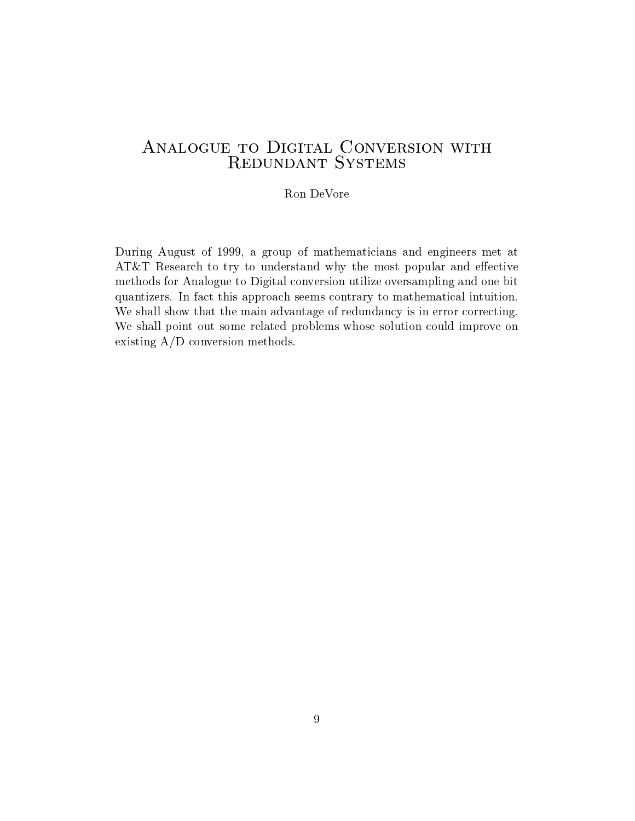#### Ron DeVore

During August of 1999, a group of mathematicians and engineers met at AT&T Research to try to understand why the most popular and effective methods for Analogue to Digital conversion utilize oversampling and one bit quantizers. In fact this approach seems contrary to mathematical intuition. We shall show that the main advantage of redundancy is in error correcting. We shall point out some related problems whose solution could improve on existing A/D conversion methods.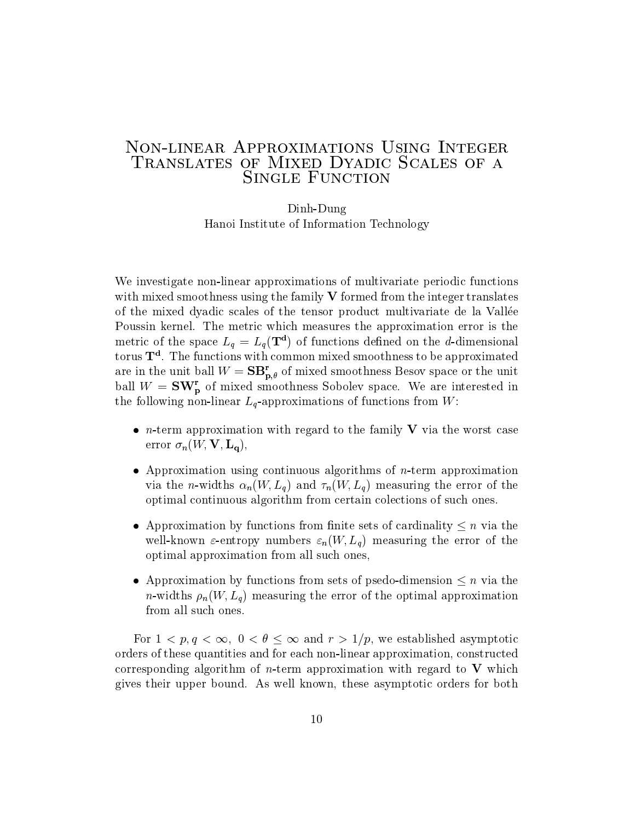# Non-linear Approximations Using Integer Translates of Mixed Dyadic Scales of a SINGLE FUNCTION

Dinh-Dung Hanoi Institute of Information Technology

We investigate non-linear approximations of multivariate periodic functions with mixed smoothness using the family  $V$  formed from the integer translates of the mixed dyadic scales of the tensor product multivariate de la Vallee Poussin kernel. The metric which measures the approximation error is the metric of the space  $L_g = L_g(T^*)$  of functions defined on the *a*-dimensional torus  $1^{\circ}$ . The functions with common mixed smoothness to be approximated are in the unit ball  $W = SB_{p,\theta}^r$  of mixed smoothness Besov space or the unit ball  $W = \mathbf{SW}_{\mathbf{p}}^{\mathbf{r}}$  of mixed smoothness Sobolev space. We are interested in the following non-linear  $L_q$ -approximations of functions from W:

- *n*-term approximation with regard to the family V via the worst case error  $\sigma_n(W, V, L_q)$ ,
- Approximation using continuous algorithms of n-term approximation via the *n*-widths  $\alpha_n(W, L_q)$  and  $\tau_n(W, L_q)$  measuring the error of the optimal continuous algorithm from certain colections of such ones.
- Approximation by functions from finite sets of cardinality  $\leq n$  via the well-known  $\varepsilon$ -entropy numbers  $\varepsilon_n(W, L_q)$  measuring the error of the optimal approximation from all such ones,
- Approximation by functions from sets of psedo-dimension  $\leq n$  via the *n*-widths  $\rho_n(W, L_q)$  measuring the error of the optimal approximation from all such ones.

For  $1 < p, q < \infty$ ,  $0 < \theta \leq \infty$  and  $r > 1/p$ , we established asymptotic orders of these quantities and for each non-linear approximation, constructed corresponding algorithm of *n*-term approximation with regard to  $V$  which gives their upper bound. As well known, these asymptotic orders for both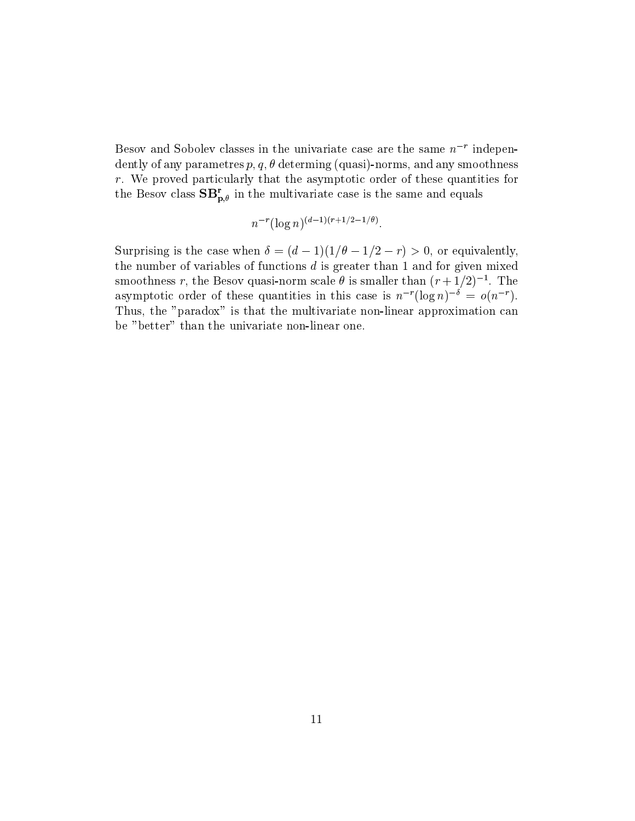$D$ esov and Sobolev classes in the univariate case are the same  $n<sup>2</sup>$  independently of any parametres  $p, q, \theta$  determing (quasi)-norms, and any smoothness  $r$ . We proved particularly that the asymptotic order of these quantities for the Besov class  $SB_{p,\theta}^{r}$  in the multivariate case is the same and equals

$$
n^{-r}(\log n)^{(d-1)(r+1/2-1/\theta)}.
$$

Surprising is the case when  $\delta = (d-1)(1/\theta - 1/2 - r) > 0$ , or equivalently, the number of variables of functions  $d$  is greater than 1 and for given mixed smoothness r, the Besov quasi-horm scale  $\theta$  is smaller than  $(r + 1/2)^{-1}$ . The asymptotic order of these quantities in this case is  $n^{-r}(\log n)^{-\delta} = o(n^{-r}).$ Thus, the "paradox" is that the multivariate non-linear approximation can be "better" than the univariate non-linear one.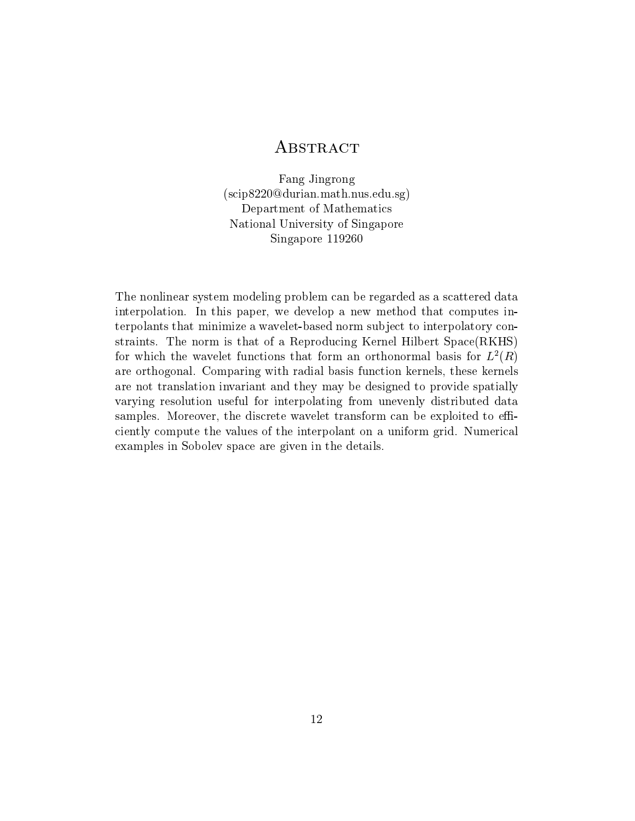# **ABSTRACT**

Fang Jingrong (scip8220@durian.math.nus.edu.sg) Department of Mathematics National University of Singapore Singapore 119260

The nonlinear system modeling problem can be regarded as a scattered data interpolation. In this paper, we develop a new method that computes interpolants that minimize a wavelet-based norm sub ject to interpolatory constraints. The norm is that of a Reproducing Kernel Hilbert Space(RKHS) for which the wavelet functions that form an orthonormal basis for  $L^2(R)$ are orthogonal. Comparing with radial basis function kernels, these kernels are not translation invariant and they may be designed to provide spatially varying resolution useful for interpolating from unevenly distributed data samples. Moreover, the discrete wavelet transform can be exploited to efficiently compute the values of the interpolant on a uniform grid. Numerical examples in Sobolev space are given in the details.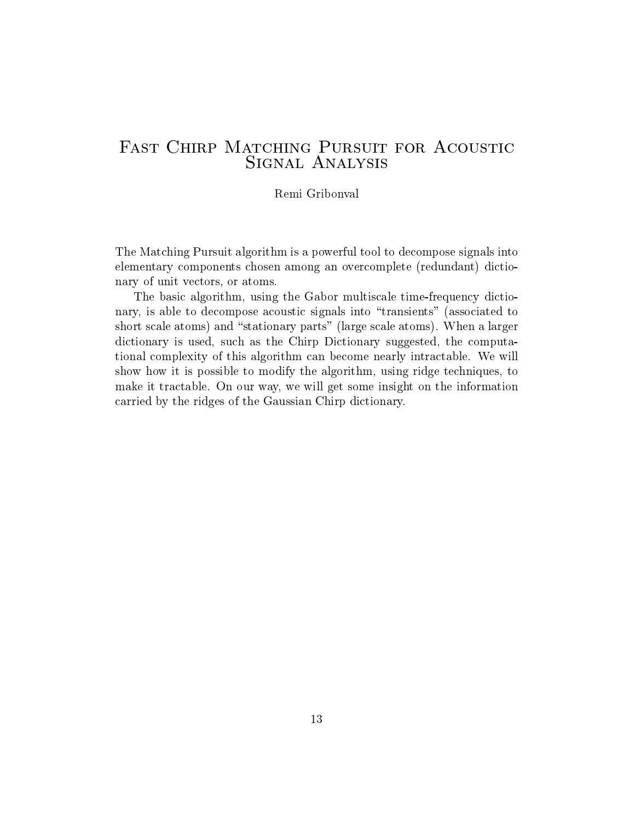#### Remi Gribonval

The Matching Pursuit algorithm is a powerful tool to decompose signals into elementary components chosen among an overcomplete (redundant) dictionary of unit vectors, or atoms.

The basic algorithm, using the Gabor multiscale time-frequency dictionary, is able to decompose acoustic signals into "transients" (associated to short scale atoms) and "stationary parts" (large scale atoms). When a larger dictionary is used, such as the Chirp Dictionary suggested, the computational complexity of this algorithm can become nearly intractable. We will show how it is possible to modify the algorithm, using ridge techniques, to make it tractable. On our way, we will get some insight on the information carried by the ridges of the Gaussian Chirp dictionary.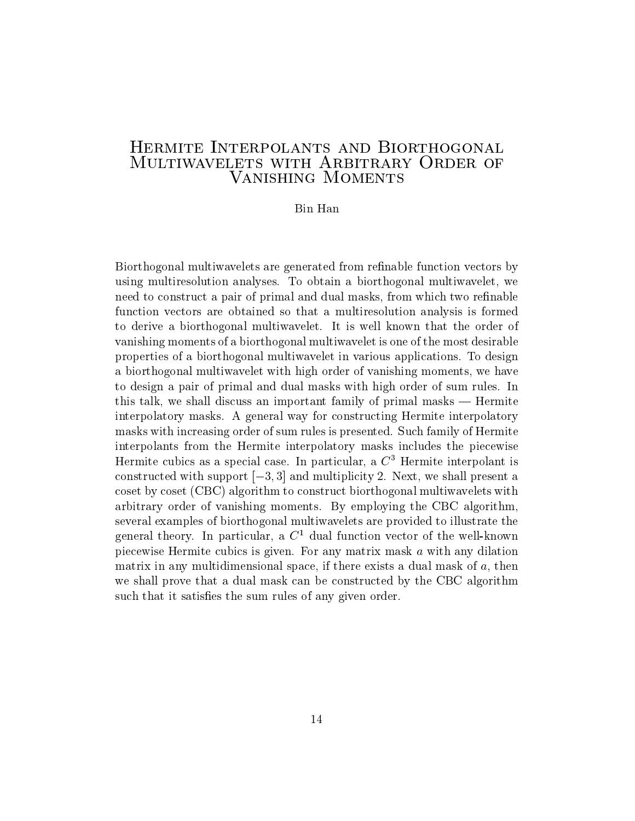# Hermite Interpolants and Biorthogonal MULTIWAVELETS WITH ARBITRARY ORDER OF Vanishing Moments

#### Bin Han

Biorthogonal multiwavelets are generated from refinable function vectors by using multiresolution analyses. To obtain a biorthogonal multiwavelet, we need to construct a pair of primal and dual masks, from which two refinable function vectors are obtained so that a multiresolution analysis is formed to derive a biorthogonal multiwavelet. It is well known that the order of vanishing moments of a biorthogonal multiwavelet is one of the most desirable properties of a biorthogonal multiwavelet in various applications. To design a biorthogonal multiwavelet with high order of vanishing moments, we have to design a pair of primal and dual masks with high order of sum rules. In this talk, we shall discuss an important family of primal masks  $-$  Hermite interpolatory masks. A general way for constructing Hermite interpolatory masks with increasing order of sum rules is presented. Such family of Hermite interpolants from the Hermite interpolatory masks includes the piecewise Hermite cubics as a special case. In particular, a  $C<sup>3</sup>$  Hermite interpolant is constructed with support  $[-3, 3]$  and multiplicity 2. Next, we shall present a coset by coset (CBC) algorithm to construct biorthogonal multiwavelets with arbitrary order of vanishing moments. By employing the CBC algorithm, several examples of biorthogonal multiwavelets are provided to illustrate the general theory. In particular, a  $C<sup>1</sup>$  dual function vector of the well-known piecewise Hermite cubics is given. For any matrix mask a with any dilation matrix in any multidimensional space, if there exists a dual mask of  $a$ , then we shall prove that a dual mask can be constructed by the CBC algorithm such that it satisfies the sum rules of any given order.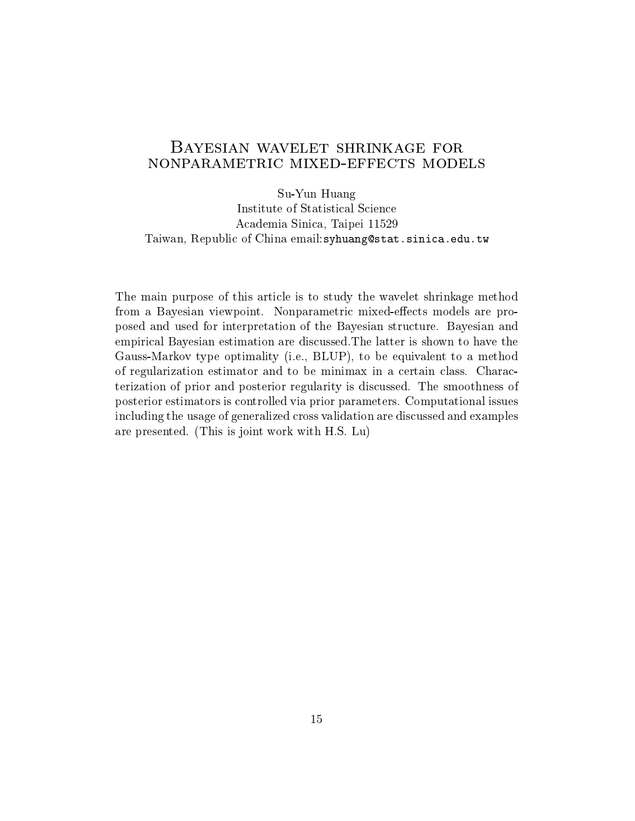# Bayesian wavelet shrinkage for nonparametric mixed-effects models

Su-Yun Huang Institute of Statistical Science Academia Sinica, Taipei 11529 Taiwan, Republic of China email:syhuang@stat.sinica.edu.tw

The main purpose of this article is to study the wavelet shrinkage method from a Bayesian viewpoint. Nonparametric mixed-effects models are proposed and used for interpretation of the Bayesian structure. Bayesian and empirical Bayesian estimation arediscussed.The latter is shown to have the Gauss-Markov type optimality (i.e., BLUP), to be equivalent to a method of regularization estimator and to be minimax in a certain class. Characterization of prior and posterior regularity is discussed. The smoothness of posterior estimators is controlled via prior parameters. Computational issues including the usage of generalized cross validation are discussed and examples are presented. (This is joint work with H.S. Lu)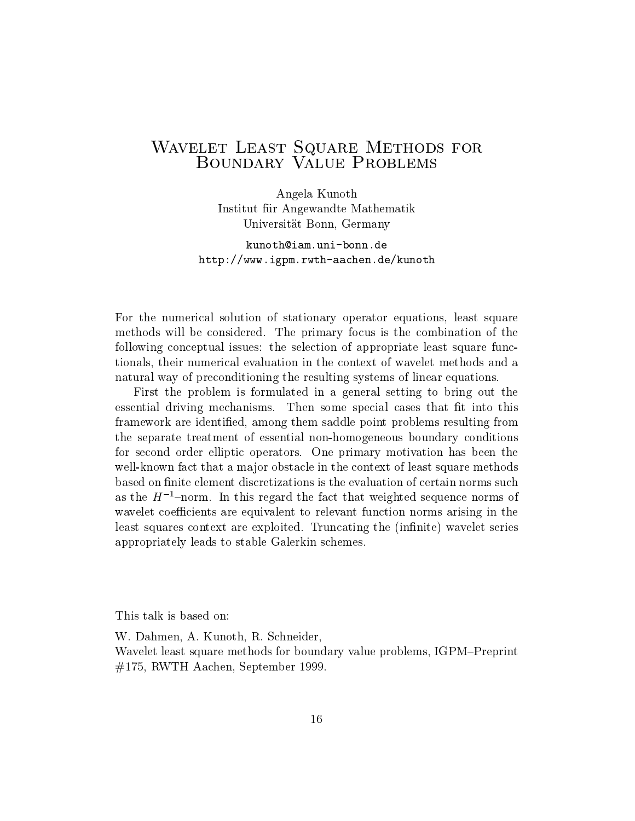# Wavelet Least Square Methods for the Contract Square Methods for the Contract Square Methods for the Contract S

Angela Kunoth Institut fur Angewandte Mathematik Universitat Bonn, Germany

kunoth@iam.uni-bonn.dehttp://www.igpm.rwth-aachen.de/kunoth

For the numerical solution of stationary operator equations, least square methods will be considered. The primary focus is the combination of the following conceptual issues: the selection of appropriate least square functionals, their numerical evaluation in the context of wavelet methods and a natural way of preconditioning the resulting systems of linear equations.

First the problem is formulated in a general setting to bring out the essential driving mechanisms. Then some special cases that fit into this framework are identied, among them saddle point problems resulting from the separate treatment of essential non-homogeneous boundary conditions for second order elliptic operators. One primary motivation has been the well-known fact that a major obstacle in the context of least square methods based on finite element discretizations is the evaluation of certain norms such as the  $H^{-1}$ -norm. In this regard the fact that weighted sequence norms of wavelet coefficients are equivalent to relevant function norms arising in the least squares context are exploited. Truncating the (infinite) wavelet series appropriately leads to stable Galerkin schemes.

This talk is based on:

W. Dahmen, A. Kunoth, R. Schneider, Wavelet least square methods for boundary value problems, IGPM-Preprint #175, RWTH Aachen, September 1999.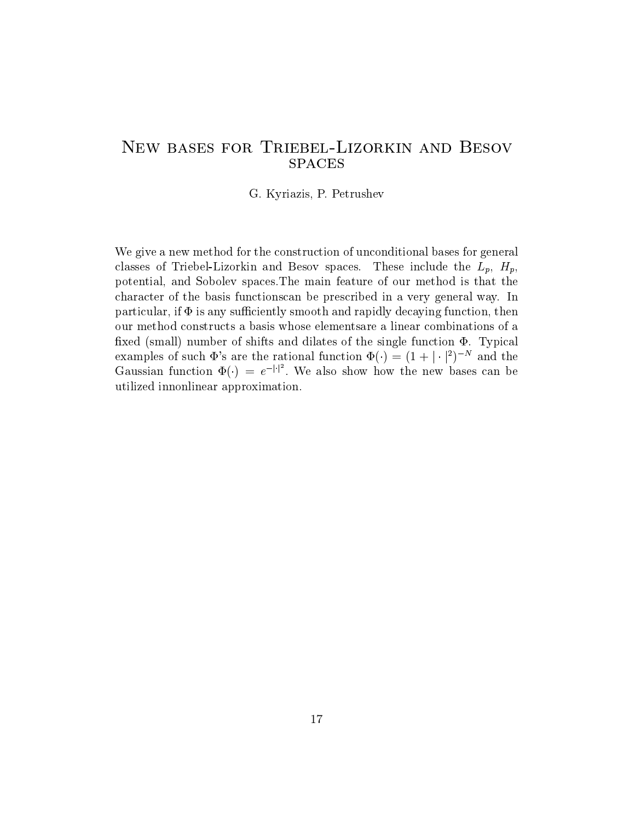# New bases for Triebel-Lizorkin and Besov **SPACES**

G. Kyriazis, P. Petrushev

We give a new method for the construction of unconditional bases for general classes of Triebel-Lizorkin and Besov spaces. These include the  $L_p$ ,  $H_p$ , potential, and Sobolev spaces.The main feature of our method is that the character of the basis functionscan be prescribed in a very general way. In particular, if  $\Phi$  is any sufficiently smooth and rapidly decaying function, then our method constructs a basis whose elementsare a linear combinations of a fixed (small) number of shifts and dilates of the single function  $\Phi$ . Typical examples of such  $\Phi$ 's are the rational function  $\Phi(\cdot) = (1 + |\cdot|^2)^{-N}$  and the<br>Gaussian function  $\Phi(\cdot) = e^{-|\cdot|^2}$ . We also show how the new bases can be utilized innonlinear approximation.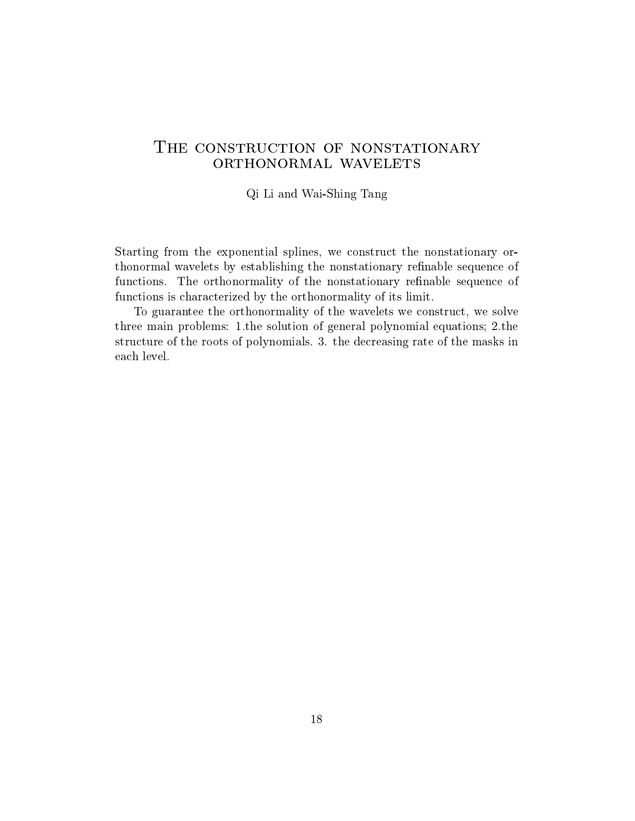# THE CONSTRUCTION OF NONSTATIONARY ORTHONORMAL WAVELETS

#### Qi Li and Wai-Shing Tang

Starting from the exponential splines, we construct the nonstationary orthonormal wavelets by establishing the nonstationary refinable sequence of functions. The orthonormality of the nonstationary refinable sequence of functions is characterized by the orthonormality of its limit.

To guarantee the orthonormality of the wavelets we construct, we solve three main problems: 1.the solution of general polynomial equations; 2.the structure of the roots of polynomials. 3. the decreasing rate of the masks in each level.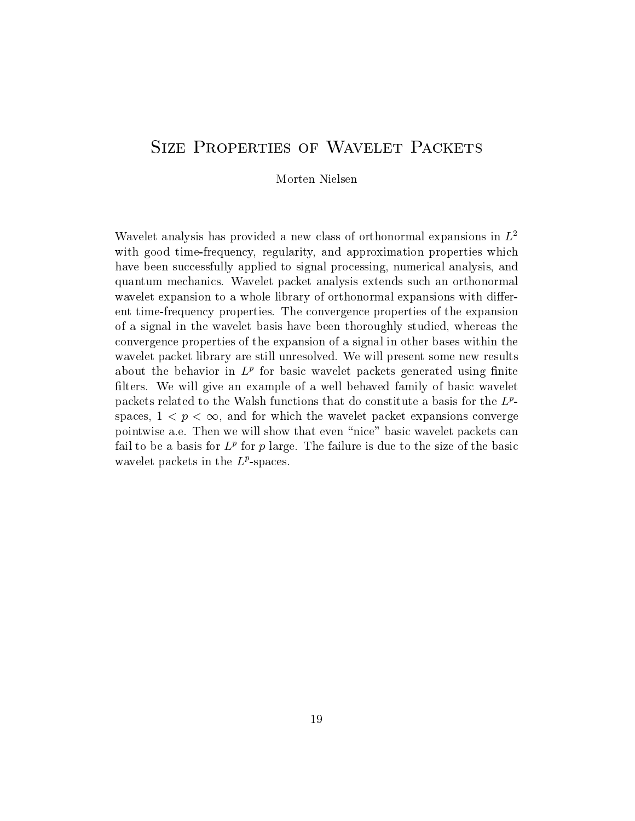# **SIZE PROPERTIES OF WAVELET PACKETS**

Morten Nielsen

Wavelet analysis has provided a new class of orthonormal expansions in  $L^2$ with good time-frequency, regularity, and approximation properties which have been successfully applied to signal processing, numerical analysis, and quantum mechanics. Wavelet packet analysis extends such an orthonormal wavelet expansion to a whole library of orthonormal expansions with different time-frequency properties. The convergence properties of the expansion of a signal in the wavelet basis have been thoroughly studied, whereas the convergence properties of the expansion of a signal in other bases within the wavelet packet library are still unresolved. We will present some new results about the behavior in  $L^{\mu}$  for basic wavelet packets generated using infite filters. We will give an example of a well behaved family of basic wavelet packets related to the Walsh functions that do constitute a basis for the  $L^p$ spaces,  $1 < p < \infty$ , and for which the wavelet packet expansions converge pointwise a.e. Then we will show that even "nice" basic wavelet packets can fail to be a basis for  $L^p$  for  $p$  large. The failure is due to the size of the basic wavelet packets in the  $L<sup>2</sup>$ -spaces.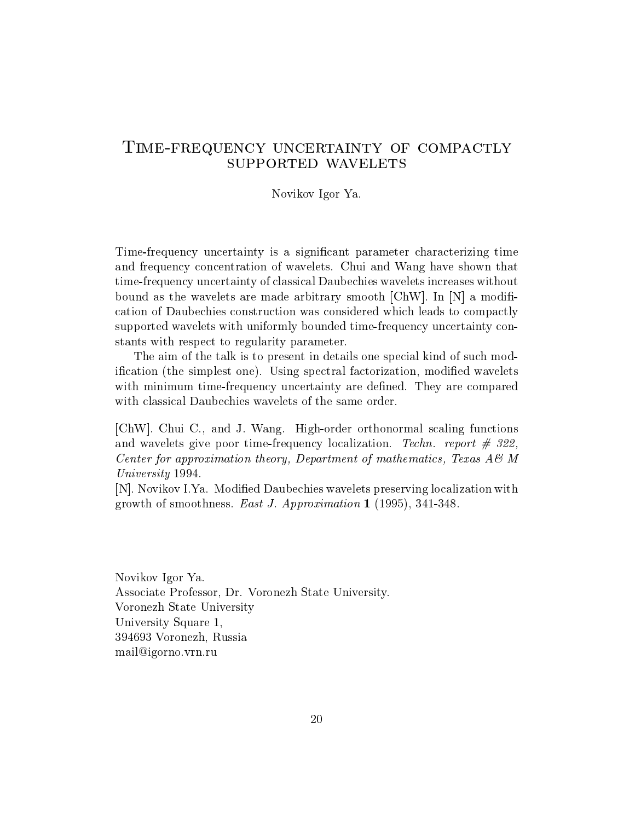### Time-frequency uncertainty of compactly SUPPORTED WAVELETS

Novikov Igor Ya.

Time-frequency uncertainty is a signicant parameter characterizing time and frequency concentration of wavelets. Chui and Wang have shown that time-frequency uncertainty of classical Daubechies wavelets increases without bound as the wavelets are made arbitrary smooth  $\langle \text{ChW} |$ . In  $|N|$  a modification of Daubechies construction was considered which leads to compactly supported wavelets with uniformly bounded time-frequency uncertainty constants with respect to regularity parameter.

The aim of the talk is to present in details one special kind of such modification (the simplest one). Using spectral factorization, modified wavelets with minimum time-frequency uncertainty are defined. They are compared with classical Daubechies wavelets of the same order.

[ChW]. Chui C., and J. Wang. High-order orthonormal scaling functions and wavelets give poor time-frequency localization. Techn. report  $\#$  322, Center for approximation theory, Department of mathematics, Texas A& M University 1994.

[N]. Novikov I.Ya. Modied Daubechies wavelets preserving localization with growth of smoothness. East J. Approximation 1 (1995), 341-348.

Novikov Igor Ya. Associate Professor, Dr. Voronezh State University. Voronezh State University University Square 1, 394693 Voronezh, Russia mail@igorno.vrn.ru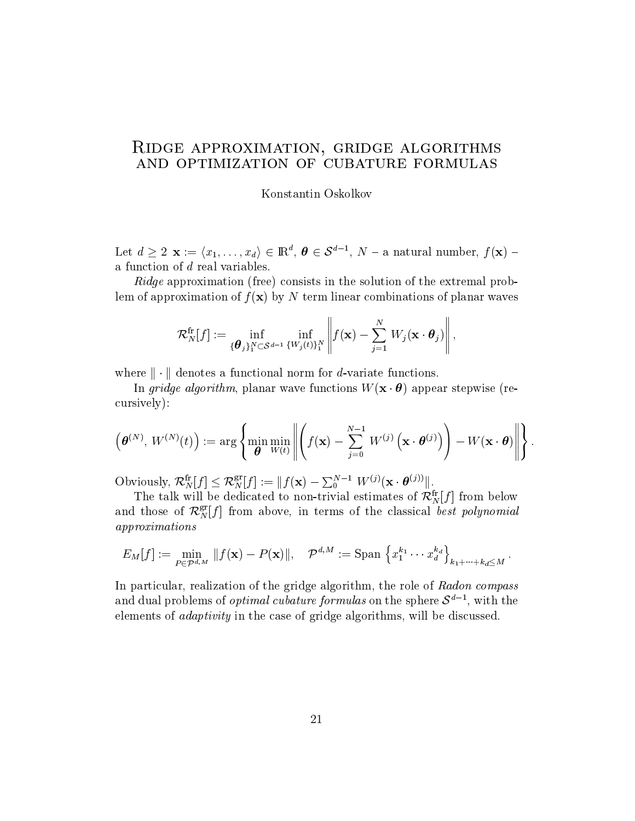### Ridge approximation, gridge algorithms and optimization of cubature formulas

Konstantin Oskolkov

Let  $a \geq 2$   $\mathbf{x} := (x_1, \ldots, x_d) \in \mathbb{R}$ ,  $\boldsymbol{\theta} \in \mathcal{S}^*$ ;  $N =$  a natural number,  $f(\mathbf{x}) =$ a function of d real variables.

Ridge approximation (free) consists in the solution of the extremal problem of approximation of  $f(\mathbf{x})$  by N term linear combinations of planar waves

$$
\mathcal{R}_N^{\text{fr}}[f] := \inf_{\{ \boldsymbol{\theta}_j \}_1^N \subset \mathcal{S}^{d-1}} \inf_{\{ W_j(t) \}_1^N} \left\| f(\mathbf{x}) - \sum_{j=1}^N \, W_j(\mathbf{x} \cdot \boldsymbol{\theta}_j) \right\|,
$$

where  $\|\cdot\|$  denotes a functional norm for d-variate functions.

In gridge algorithm, planar wave functions  $W(\mathbf{x} \cdot \boldsymbol{\theta})$  appear stepwise (recursively):

$$
\left(\boldsymbol{\theta}^{(N)},\,W^{(N)}(t)\right):=\arg\left\{\min\limits_{\boldsymbol{\theta}}\min\limits_{W(t)}\left\|\left(f(\mathbf{x})-\sum_{j=0}^{N-1}\,W^{(j)}\left(\mathbf{x}\cdot\boldsymbol{\theta}^{(j)}\right)\right)-W(\mathbf{x}\cdot\boldsymbol{\theta})\right\|\right\}.
$$

Obviously,  $\mathcal{R}_N^{\text{tr}}[f] \leq \mathcal{R}_N^{\text{st}}[f] := ||f(\mathbf{x}) - \sum_{0}^{N-1} W^{(j)}(\mathbf{x} \cdot \boldsymbol{\theta}^{(j)})||.$ 

The talk will be dedicated to non-trivial estimates of  $\kappa_N^r[j]$  from below and those of  $\mathcal{K}^\sigma_N[f]$  from above, in terms of the classical *best polynomial* approximations

$$
E_M[f] := \min_{P \in \mathcal{P}^{d,M}} \|f(\mathbf{x}) - P(\mathbf{x})\|, \quad \mathcal{P}^{d,M} := \text{Span}\left\{x_1^{k_1} \cdots x_d^{k_d}\right\}_{k_1 + \cdots + k_d \leq M}.
$$

In particular, realization of the gridge algorithm, the role of Radon compass and dual problems of *optimal cubature formulas* on the sphere  $S^+$  , with the elements of adaptivity in thecase of gridge algorithms, will be discussed.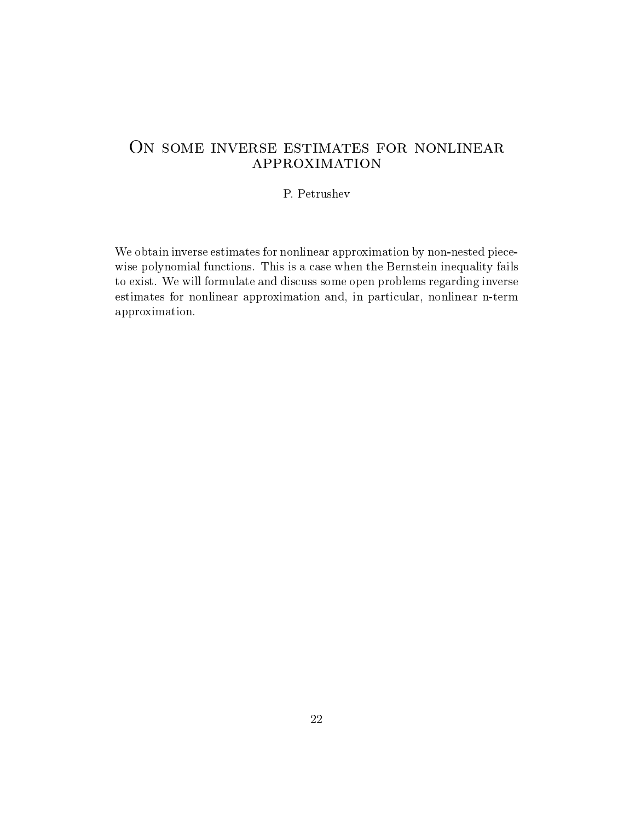# ON SOME INVERSE ESTIMATES FOR NONLINEAR approximation

#### P. Petrushev

We obtain inverse estimates for nonlinear approximation by non-nested piecewise polynomial functions. This is a case when the Bernstein inequality fails to exist. We will formulate and discuss some open problems regarding inverse estimates for nonlinear approximation and, in particular, nonlinear n-term approximation.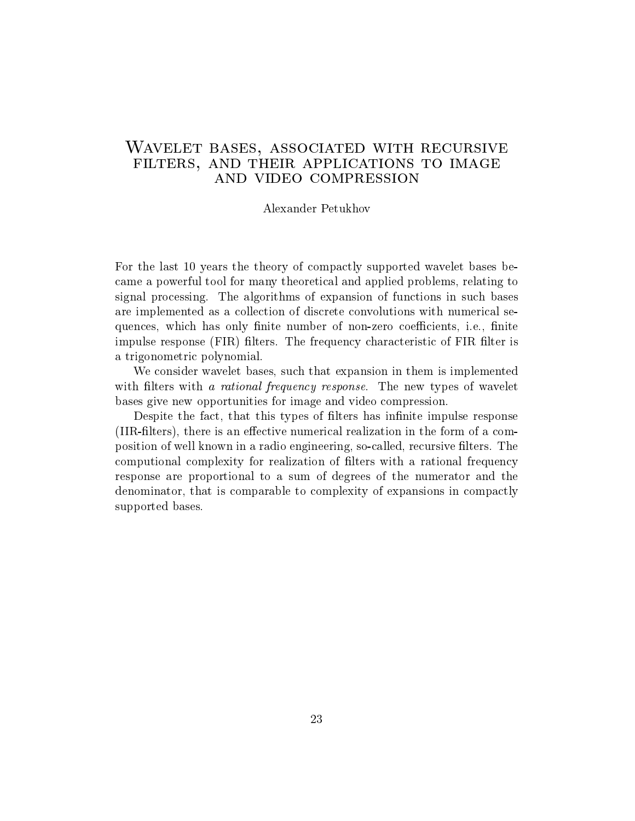# Wavelet bases, associated with recursive filters, and their applications to image and video compression

#### Alexander Petukhov

For the last 10 years the theory of compactly supported wavelet bases became a powerful tool for many theoretical and applied problems, relating to signal processing. The algorithms of expansion of functions in such bases are implemented as a collection of discrete convolutions with numerical sequences, which has only finite number of non-zero coefficients, i.e., finite impulse response (FIR) filters. The frequency characteristic of FIR filter is a trigonometric polynomial.

We consider wavelet bases, such that expansion in them is implemented with filters with a rational frequency response. The new types of wavelet bases give new opportunities for image and video compression.

Despite the fact, that this types of filters has infinite impulse response (IIR-filters), there is an effective numerical realization in the form of a composition of well known in aradio engineering, so-called, recursive lters. The computional complexity for realization of filters with a rational frequency response are proportional to a sum of degrees of the numerator and the denominator, that is comparable to complexity of expansions in compactly supported bases.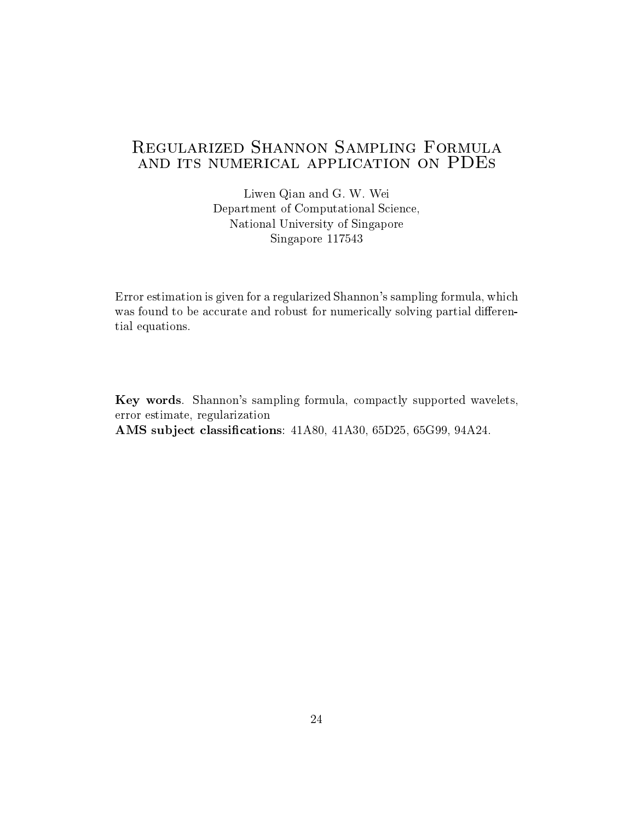Liwen Qian and G. W. Wei Department of Computational Science, National University of Singapore Singapore 117543

Error estimation is given for a regularized Shannon's sampling formula, which was found to be accurate and robust for numerically solving partial differential equations.

Key words. Shannon's sampling formula, compactly supported wavelets, error estimate, regularization AMS sub ject classications: 41A80, 41A30, 65D25, 65G99, 94A24.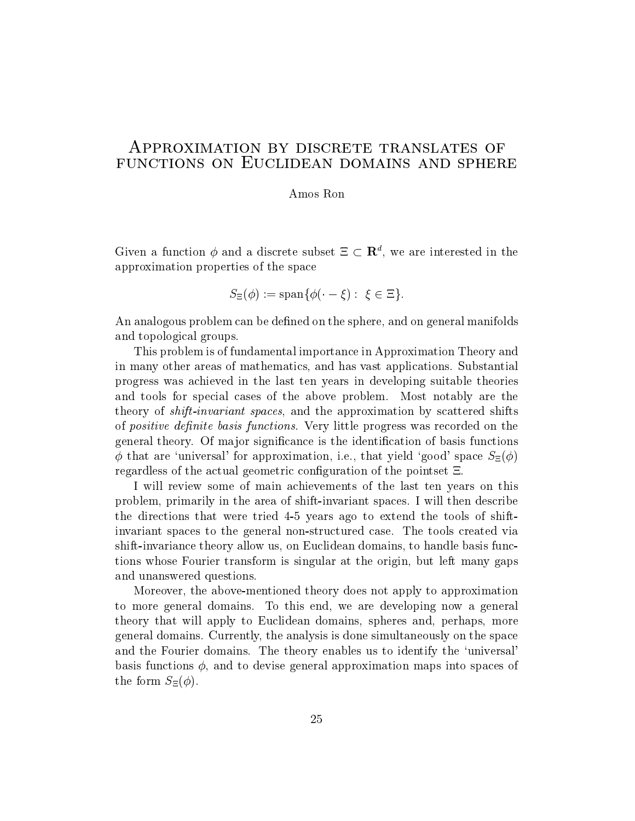#### Approximation by discrete translates of FUNCTIONS ON EUCLIDEAN DOMAINS AND SPHERE

#### Amos Ron

Given a function  $\varphi$  and a discrete subset  $\Xi \subset \mathbf{R}^n$ , we are interested in the approximation properties of the space

$$
S_{\Xi}(\phi) := \operatorname{span} \{ \phi(\cdot - \xi) : \xi \in \Xi \}.
$$

An analogous problem can be defined on the sphere, and on general manifolds and topological groups.

This problem is of fundamental importance in Approximation Theory and in many other areas of mathematics, and has vast applications. Substantial progress was achieved in the last ten years in developing suitable theories and tools for special cases of the above problem. Most notably are the theory of shift-invariant spaces, and the approximation by scattered shifts of *positive definite basis functions*. Very little progress was recorded on the general theory. Of ma jor signicance is the identication of basis functions  $\phi$  that are 'universal' for approximation, i.e., that yield 'good' space  $S_{\Xi}(\phi)$ regardless of the actual geometric configuration of the pointset  $E$ .

I will review some of main achievements of the last ten years on this problem, primarily in thearea of shift-invariant spaces. I will then describe the directions that were tried 4-5 years ago to extend the tools of shiftinvariant spaces to the general non-structured case. The tools created via shift-invariance theory allow us, on Euclidean domains, to handle basis functions whose Fourier transform is singular at the origin, but left many gaps and unanswered questions.

Moreover, the above-mentioned theory does not apply to approximation to more general domains. To this end, we are developing now a general theory that will apply to Euclidean domains, spheres and, perhaps, more general domains. Currently, the analysis is done simultaneously on thespace and the Fourier domains. The theory enables us to identify the 'universal' basis functions  $\phi$ , and to devise general approximation maps into spaces of the form  $S_{\Xi}(\phi)$ .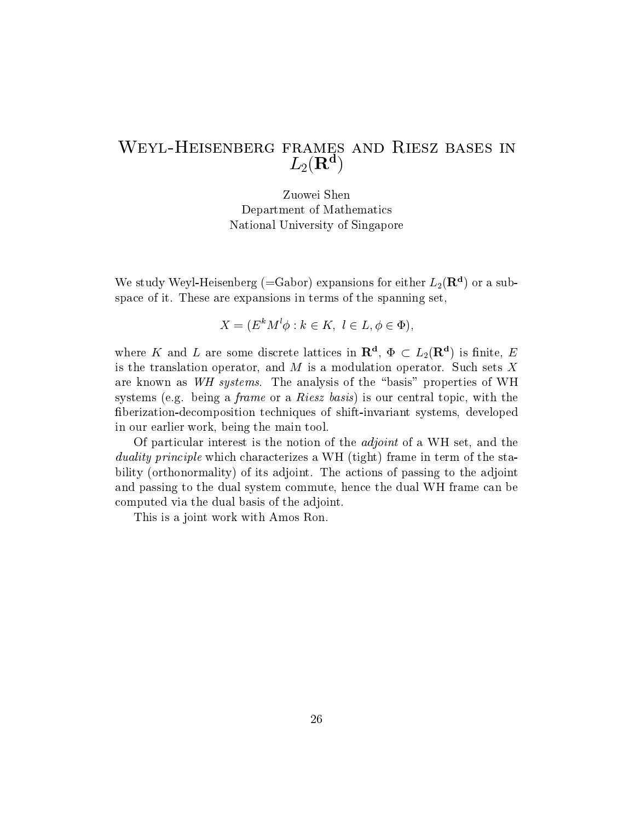# $L_2(\mathbf{R}^{\dagger})$

Zuowei Shen Department of Mathematics National University of Singapore

We study weyl-Heisenberg (=Gabor) expansions for either  $L_2(\mathbf{R}^+)$  or a subspace of it. These are expansions in terms of the spanning set,

$$
X = (E^k M^l \phi : k \in K, l \in L, \phi \in \Phi),
$$

where  $\Lambda$  and  $L$  are some discrete lattices in  $\Lambda$ ,  $\Psi \subset L_2(\Lambda)$  is finite,  $E$ is the translation operator, and  $M$  is a modulation operator. Such sets  $X$ are known as WH systems. The analysis of the \basis" properties of WH systems (e.g. being a *frame* or a *Riesz basis*) is our central topic, with the berization-decomposition techniques of shift-invariant systems, developed in our earlier work, being the main tool.

Of particular interest is the notion of the adjoint of a WH set, and the duality principle which characterizes a WH (tight) frame in term of the stability (orthonormality) of its adjoint. The actions of passing to the adjoint and passing to the dual system commute, hence the dual WH frame can be computed via the dual basis of the adjoint.

This is a joint work with Amos Ron.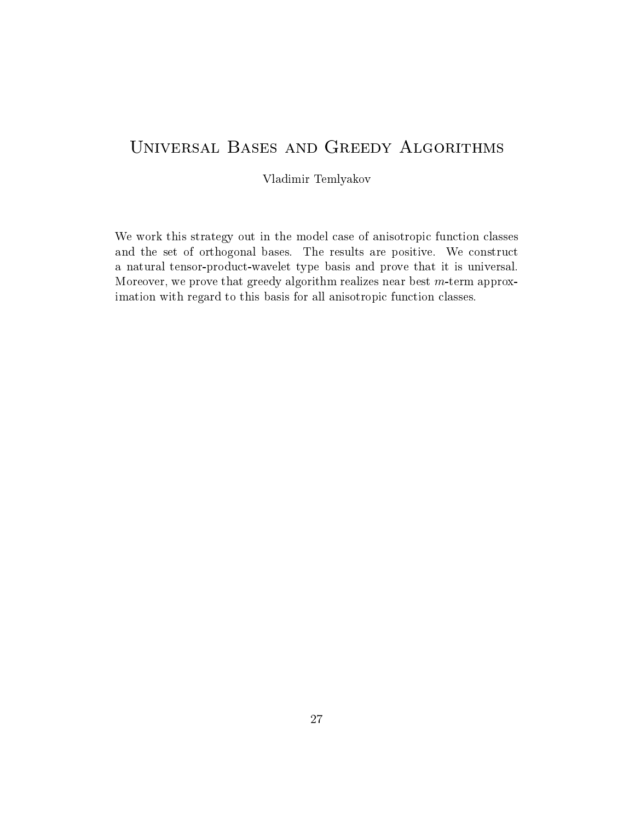# Universal Bases and Greedy Algorithms

Vladimir Temlyakov

We work this strategy out in the model case of anisotropic function classes and the set of orthogonal bases. The results are positive. We construct a natural tensor-product-wavelet type basis and prove that it is universal. Moreover, we prove that greedy algorithm realizes near best  $m$ -term approximation with regard to this basis for all anisotropic function classes.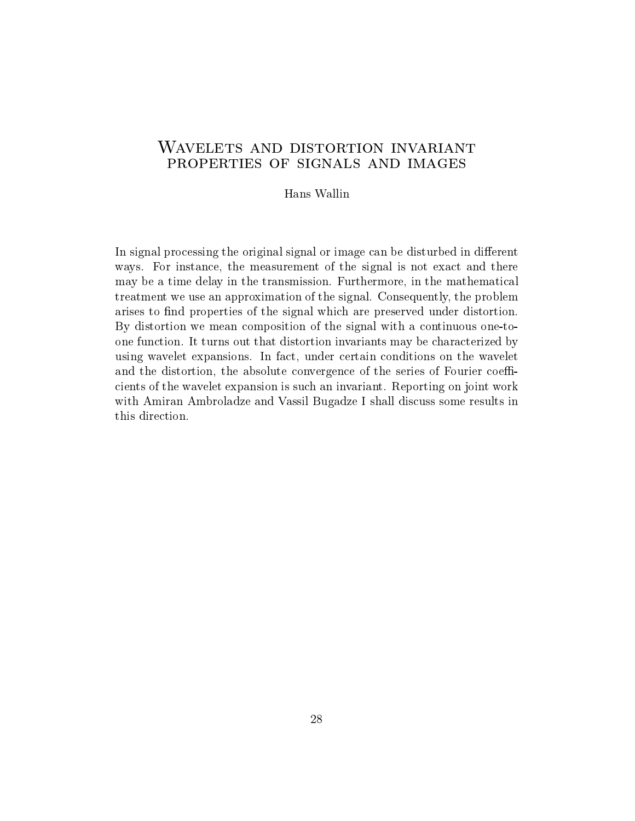# Wavelets and distortion invariant properties of signals and images

Hans Wallin

In signal processing the original signal or image can be disturbed in different ways. For instance, the measurement of the signal is not exact and there may be a time delay in the transmission. Furthermore, in the mathematical treatment we use an approximation of the signal. Consequently, the problem arises to find properties of the signal which are preserved under distortion. By distortion we mean composition of the signal with a continuous one-toone function. It turns out that distortion invariants may becharacterized by using wavelet expansions. In fact, under certain conditions on the wavelet and the distortion, the absolute convergence of the series of Fourier coefficients of the wavelet expansion is such an invariant. Reporting on joint work with Amiran Ambroladze and Vassil Bugadze I shall discuss some results in this direction.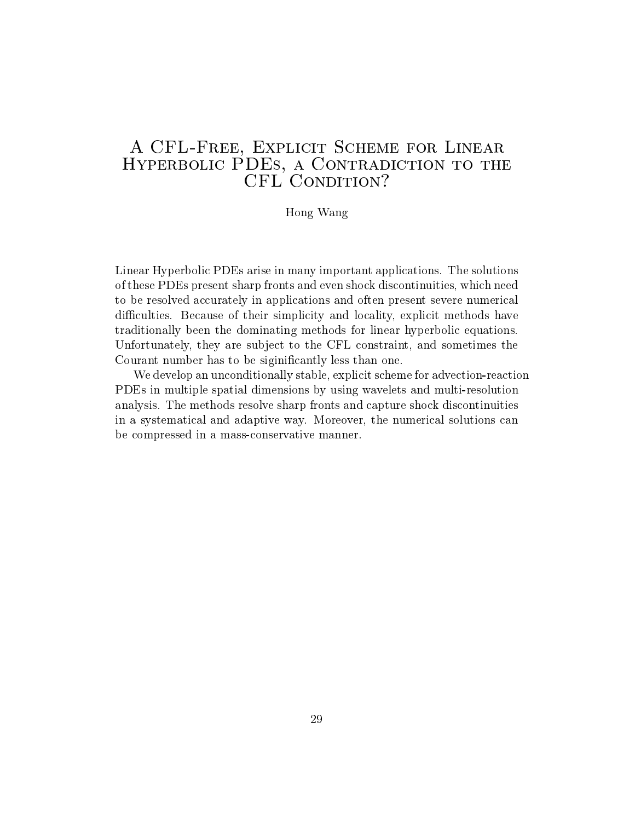# A CFL-Free, Explicit Scheme for Linear Hyperbolic PDEs, a Contradiction to the CFL CONDITION?

#### Hong Wang

Linear Hyperbolic PDEs arise in many important applications. The solutions of these PDEs present sharp fronts and even shock discontinuities, which need to be resolved accurately in applications and often present severe numerical difficulties. Because of their simplicity and locality, explicit methods have traditionally been the dominating methods for linear hyperbolic equations. Unfortunately, they are sub ject to the CFL constraint, and sometimes the Courant number has to be siginicantly less than one.

We develop an unconditionally stable, explicit scheme for advection-reaction PDEs in multiple spatial dimensions by using wavelets and multi-resolution analysis. The methods resolve sharp fronts and capture shock discontinuities in a systematical and adaptive way. Moreover, the numerical solutions can be compressed in a mass-conservative manner.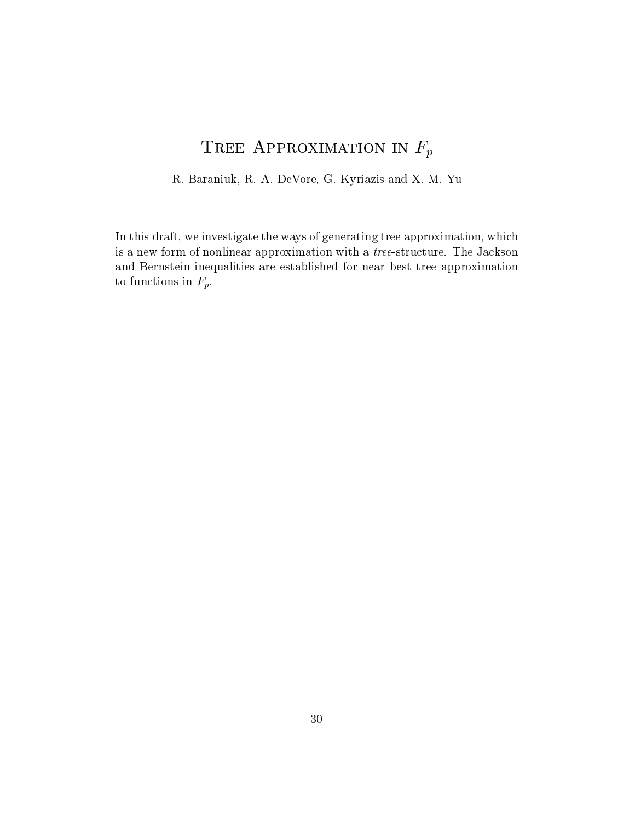# TREE APPROXIMATION IN  $F_p$

R. Baraniuk, R. A. DeVore, G. Kyriazis and X. M. Yu

In this draft, we investigate the ways of generating tree approximation, which is a new form of nonlinear approximation with a *tree*-structure. The Jackson and Bernstein inequalities are established for near best tree approximation to functions in  $F_p$ .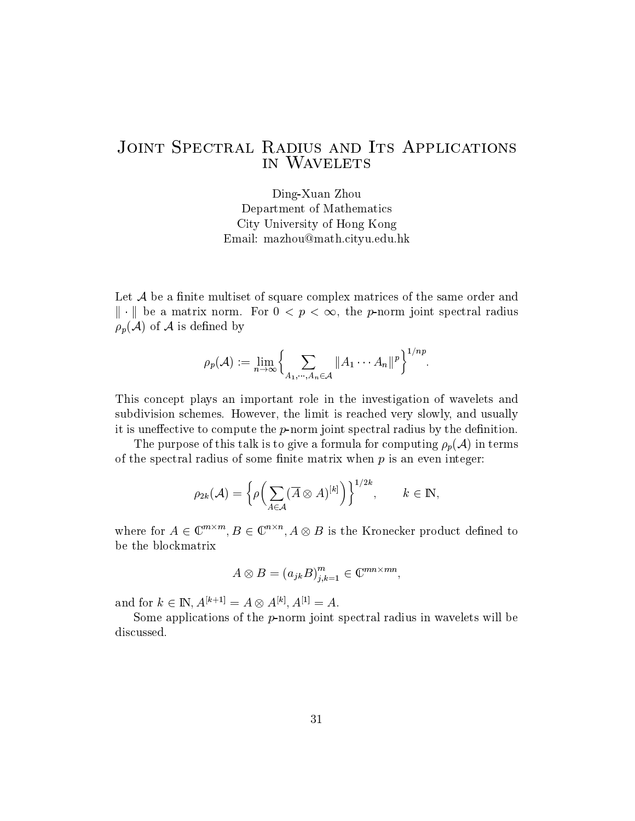# JOINT SPECTRAL RADIUS AND ITS APPLICATIONS in Wavelets

Ding-Xuan Zhou Department of Mathematics City University of Hong Kong Email: mazhou@math.cityu.edu.hk

Let  $\mathcal A$  be a finite multiset of square complex matrices of the same order and  $\|\cdot\|$  be a matrix norm. For  $0 < p < \infty$ , the p-norm joint spectral radius  $\rho_p(\mathcal{A})$  of  $\mathcal A$  is defined by

$$
\rho_p(\mathcal{A}) := \lim_{n \to \infty} \left\{ \sum_{A_1, \cdots, A_n \in \mathcal{A}} \|A_1 \cdots A_n\|^p \right\}^{1/np}.
$$

This concept plays an important role in the investigation of wavelets and subdivision schemes. However, the limit is reached very slowly, and usually it is uneffective to compute the  $p$ -norm joint spectral radius by the definition.

The purpose of this talk is to give a formula for computing  $\rho_p(\mathcal{A})$  in terms of the spectral radius of some finite matrix when  $p$  is an even integer:

$$
\rho_{2k}(\mathcal{A})=\Big\{\rho\Big(\sum_{A\in\mathcal{A}}(\overline{A}\otimes A)^{[k]}\Big)\Big\}^{1/2k},\qquad k\in\mathrm{I\!N},
$$

where for  $A \in \mathbb{C}^{n \times n}$ ,  $B \in \mathbb{C}^{n \times n}$ ,  $A \otimes B$  is the Kronecker product defined to be the blockmatrix

$$
A \otimes B = (a_{jk}B)_{j,k=1}^m \in \mathbb{C}^{mn \times mn},
$$

and for  $k \in \mathbb{N}$ ,  $A^{k+1} \equiv A \otimes A^{k+1}$ ,  $A^{k+1} \equiv A$ .

Some applications of the  $p$ -norm joint spectral radius in wavelets will be discussed.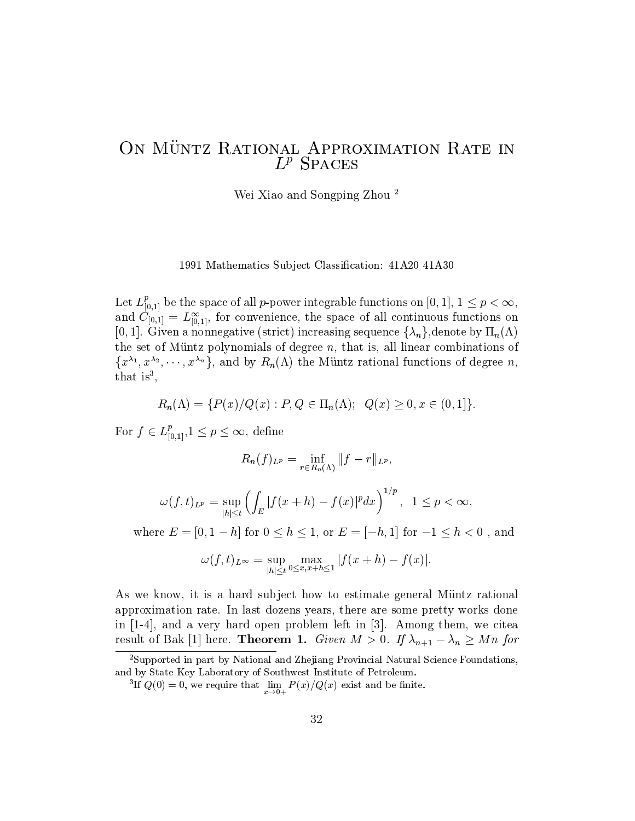# On Muntz Rational Approximation Rate in  $L^r$  SPACES

Wei Xiao and Songping Zhou <sup>2</sup>

1991 Mathematics Subject Classification: 41A20 41A30

Let  $L_{[0,1]}$  be the space of all  $p$ -power integrable functions on  $[0,1],\, 1\leq p<\infty,$ and  $C_{[0,1]} = L_{[0,1]}$ , for convenience, the space of all continuous functions on [0, 1]. Given a nonnegative (strict) increasing sequence  $\{\lambda_n\}$ , denote by  $\Pi_n(\Lambda)$ the set of Müntz polynomials of degree  $n$ , that is, all linear combinations of  $\{x^{n}, x^{n}, \cdots, x^{n}\}$ , and by  $R_n(\Lambda)$  the Muntz rational functions of degree  $n$ , that is<sup>3</sup>,

$$
R_n(\Lambda) = \{ P(x)/Q(x) : P, Q \in \Pi_n(\Lambda); \ Q(x) \ge 0, x \in (0,1] \}.
$$

For  $f \in L^1_{[0,1]}, 1 \leq p \leq \infty$ , define

$$
R_n(f)_{L^p} = \inf_{r \in R_n(\Lambda)} ||f - r||_{L^p},
$$

$$
= \sum_{n=0}^{\infty} \sum_{j=0}^{\infty} \frac{1}{n!} \sum_{j=0}^{\infty} \frac{1}{n!} \sum_{j=0}^{\infty} \left( \int_E |f(x+h) - f(x)|^p dx \right)^{1/p}, \quad 1 \le p < \infty,
$$

where  $E = [0, 1 - h]$  for  $0 \le h \le 1$ , or  $E = [-h, 1]$  for  $-1 \le h < 0$ , and

$$
\omega(f,t)_{L^{\infty}} = \sup_{|h| \le t} \max_{0 \le x, x+h \le 1} |f(x+h) - f(x)|.
$$

As we know, it is a hard subject how to estimate general Müntz rational approximation rate. In last dozens years, there are some pretty works done in [1-4], and a very hard open problem left in [3]. Among them, we citea result of Bak [1] here. **Theorem 1.** Given  $M > 0$ . If  $\lambda_{n+1} - \lambda_n \geq Mn$  for

<sup>2</sup>Supported in part by National and Zhejiang Provincial Natural Science Foundations, and by State Key Laboratory of Southwest Institute of Petroleum.

If  $Q(0) = 0$ , we require that  $\lim_{x\to 0+} P(x)/Q(x)$  exist and be finite.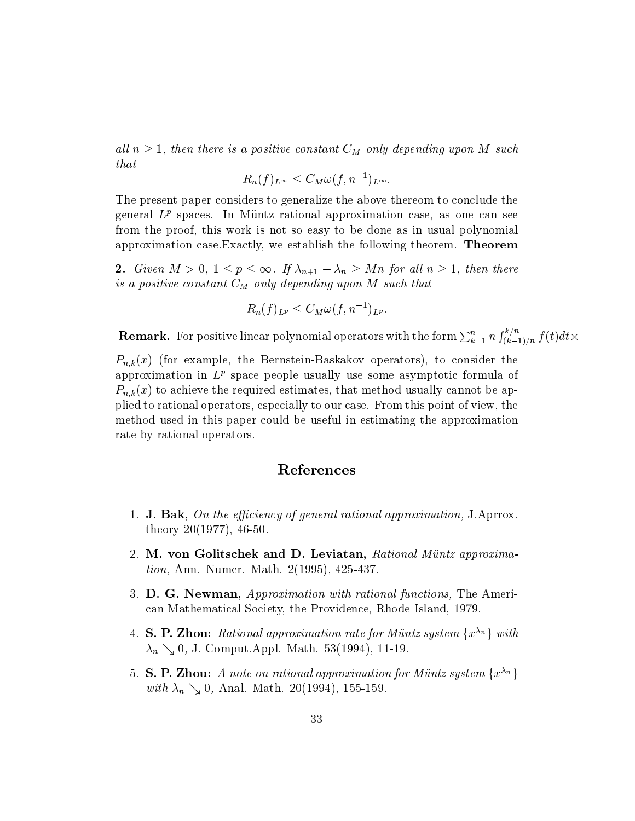all  $n \geq 1$ , then there is a positive constant  $C_M$  only depending upon M such *that* 

$$
R_n(f)_{L^{\infty}} \leq C_M \omega(f, n^{-1})_{L^{\infty}}.
$$

The present paper considers to generalize the above thereom to conclude the general  $L^p$  spaces. In Müntz rational approximation case, as one can see from the proof, this work is not so easy to be done as in usual polynomial approximation case.Exactly, we establish the following theorem. Theorem

2. Given  $M > 0$ ,  $1 \le p \le \infty$ . If  $\lambda_{n+1} - \lambda_n \ge Mn$  for all  $n \ge 1$ , then there is a positive constant  $C_M$  only depending upon  $M$  such that

$$
R_n(f)_{L^p} \leq C_M \omega(f, n^{-1})_{L^p}.
$$

**Remark.** For positive linear polynomial operators with the form  $\sum_{k=1}^n n \int_{(k-1)/n}^{\kappa/n} f(t) dt$   $\times$  $\int_{(k-1)/n}^{\kappa/n} f(t)dt$   $\times$ 

 $P_{n,k}(x)$  (for example, the Bernstein-Baskakov operators), to consider the approximation in  $L^p$  space people usually use some asymptotic formula of  $P_{n,k}(x)$  to achieve the required estimates, that method usually cannot be applied to rational operators, especially to our case. From this point of view, the method used in this paper could be usefulin estimating the approximation rate by rational operators.

#### References

- 1. **J. Bak,** On the efficiency of general rational approximation, J.Aprrox. theory 20(1977), 46-50.
- 2. M. von Golitschek and D. Leviatan, Rational Müntz approximation, Ann. Numer. Math. 2(1995), 425-437.
- 3. **D. G. Newman,** Approximation with rational functions. The American Mathematical Society, the Providence, Rhode Island, 1979.
- 4. S. P. Zhou: Rational approximation rate for Müntz system  $\{x^{\lambda_n}\}\$  with  $\lambda_n \searrow 0$ , J. Comput.Appl. Math. 53(1994), 11-19.
- 5. S. P. Zhou: A note on rational approximation for Müntz system  $\{x^{\lambda_n}\}$ with  $\lambda_n \searrow 0$ , Anal. Math. 20(1994), 155-159.